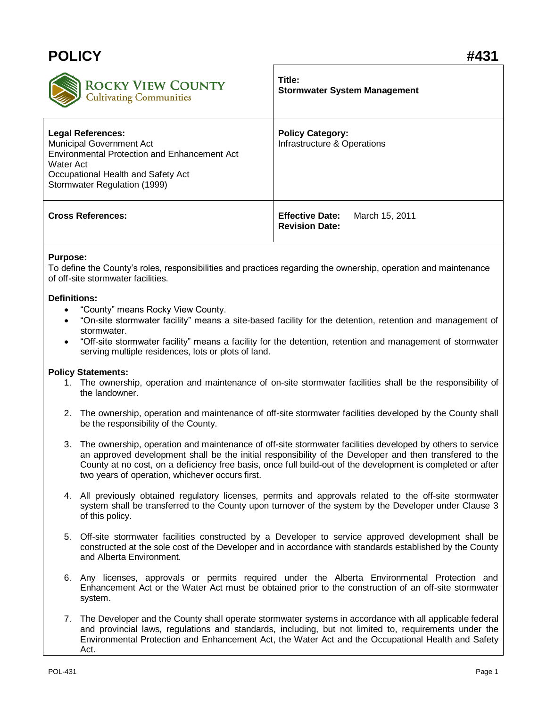## **POLICY #431 Title: ROCKY VIEW COUNTY Stormwater System Management Cultivating Communities Legal References: Policy Category:** Municipal Government Act Infrastructure & Operations Environmental Protection and Enhancement Act Water Act Occupational Health and Safety Act Stormwater Regulation (1999) **Cross References: Effective Date:** March 15, 2011 **Revision Date:**

## **Purpose:**

To define the County's roles, responsibilities and practices regarding the ownership, operation and maintenance of off-site stormwater facilities.

## **Definitions:**

- "County" means Rocky View County.
- "On-site stormwater facility" means a site-based facility for the detention, retention and management of stormwater.
- "Off-site stormwater facility" means a facility for the detention, retention and management of stormwater serving multiple residences, lots or plots of land.

## **Policy Statements:**

- 1. The ownership, operation and maintenance of on-site stormwater facilities shall be the responsibility of the landowner.
- 2. The ownership, operation and maintenance of off-site stormwater facilities developed by the County shall be the responsibility of the County.
- 3. The ownership, operation and maintenance of off-site stormwater facilities developed by others to service an approved development shall be the initial responsibility of the Developer and then transfered to the County at no cost, on a deficiency free basis, once full build-out of the development is completed or after two years of operation, whichever occurs first.
- 4. All previously obtained regulatory licenses, permits and approvals related to the off-site stormwater system shall be transferred to the County upon turnover of the system by the Developer under Clause 3 of this policy.
- 5. Off-site stormwater facilities constructed by a Developer to service approved development shall be constructed at the sole cost of the Developer and in accordance with standards established by the County and Alberta Environment.
- 6. Any licenses, approvals or permits required under the Alberta Environmental Protection and Enhancement Act or the Water Act must be obtained prior to the construction of an off-site stormwater system.
- 7. The Developer and the County shall operate stormwater systems in accordance with all applicable federal and provincial laws, regulations and standards, including, but not limited to, requirements under the Environmental Protection and Enhancement Act, the Water Act and the Occupational Health and Safety Act.